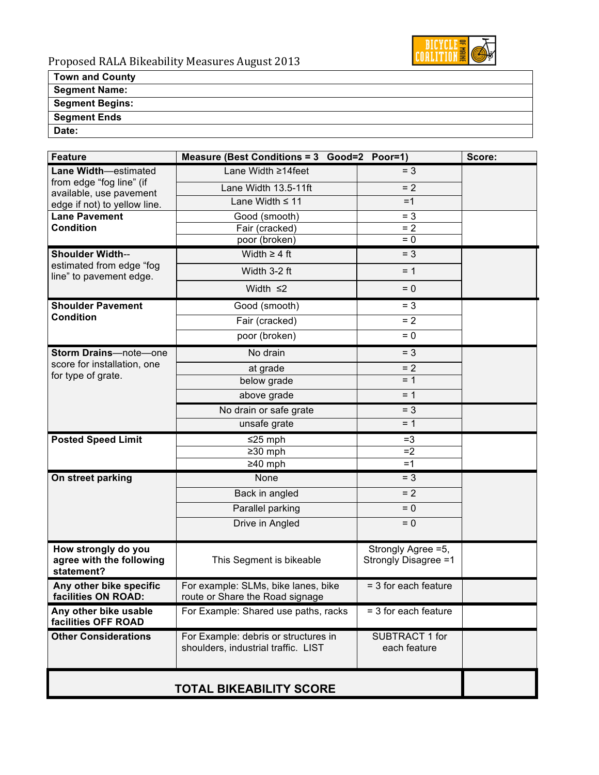

#### **Town and County Segment Name: Segment Begins:**

**Segment Ends**

**Date:** 

| <b>Feature</b>                                                                 | Measure (Best Conditions = 3 Good=2 Poor=1)                                 |                                             | Score: |
|--------------------------------------------------------------------------------|-----------------------------------------------------------------------------|---------------------------------------------|--------|
| <b>Lane Width</b> -estimated                                                   | Lane Width ≥14feet                                                          | $= 3$                                       |        |
| from edge "fog line" (if                                                       | Lane Width 13.5-11ft                                                        | $= 2$                                       |        |
| available, use pavement<br>edge if not) to yellow line.                        | Lane Width $\leq 11$                                                        | $=1$                                        |        |
| <b>Lane Pavement</b>                                                           | Good (smooth)                                                               | $= 3$                                       |        |
| <b>Condition</b>                                                               | Fair (cracked)                                                              | $= 2$                                       |        |
|                                                                                | poor (broken)                                                               | $= 0$                                       |        |
| <b>Shoulder Width--</b><br>estimated from edge "fog<br>line" to pavement edge. | Width $\geq 4$ ft                                                           | $= 3$                                       |        |
|                                                                                | Width 3-2 ft                                                                | $= 1$                                       |        |
|                                                                                | Width $\leq$ 2                                                              | $= 0$                                       |        |
| <b>Shoulder Pavement</b><br><b>Condition</b>                                   | Good (smooth)                                                               | $= 3$                                       |        |
|                                                                                | Fair (cracked)                                                              | $= 2$                                       |        |
|                                                                                | poor (broken)                                                               | $= 0$                                       |        |
| Storm Drains-note-one<br>score for installation, one<br>for type of grate.     | No drain                                                                    | $= 3$                                       |        |
|                                                                                | at grade                                                                    | $= 2$                                       |        |
|                                                                                | below grade                                                                 | $= 1$                                       |        |
|                                                                                | above grade                                                                 | $= 1$                                       |        |
|                                                                                | No drain or safe grate                                                      | $= 3$                                       |        |
|                                                                                | unsafe grate                                                                | $= 1$                                       |        |
| <b>Posted Speed Limit</b>                                                      | $≤25$ mph                                                                   | $=3$                                        |        |
|                                                                                | $\geq$ 30 mph                                                               | $=2$                                        |        |
|                                                                                | $≥40$ mph                                                                   | $=1$                                        |        |
| On street parking                                                              | None                                                                        | $= 3$                                       |        |
|                                                                                | Back in angled                                                              | $= 2$                                       |        |
|                                                                                | Parallel parking                                                            | $= 0$                                       |        |
|                                                                                | Drive in Angled                                                             | $= 0$                                       |        |
| How strongly do you<br>agree with the following<br>statement?                  | This Segment is bikeable                                                    | Strongly Agree = 5,<br>Strongly Disagree =1 |        |
| Any other bike specific<br>facilities ON ROAD:                                 | For example: SLMs, bike lanes, bike<br>route or Share the Road signage      | $=$ 3 for each feature                      |        |
| Any other bike usable<br>facilities OFF ROAD                                   | For Example: Shared use paths, racks                                        | $=$ 3 for each feature                      |        |
| <b>Other Considerations</b>                                                    | For Example: debris or structures in<br>shoulders, industrial traffic. LIST | SUBTRACT 1 for<br>each feature              |        |
| <b>TOTAL BIKEABILITY SCORE</b>                                                 |                                                                             |                                             |        |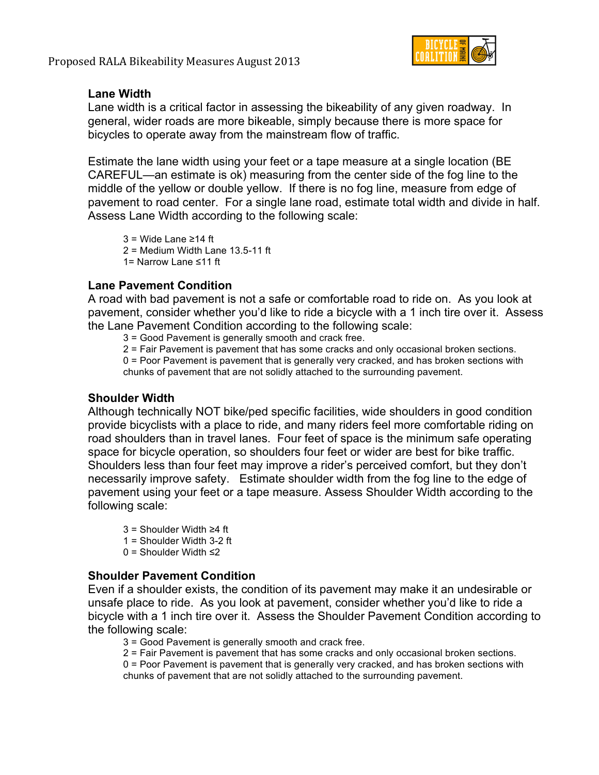

### **Lane Width**

Lane width is a critical factor in assessing the bikeability of any given roadway. In general, wider roads are more bikeable, simply because there is more space for bicycles to operate away from the mainstream flow of traffic.

Estimate the lane width using your feet or a tape measure at a single location (BE CAREFUL—an estimate is ok) measuring from the center side of the fog line to the middle of the yellow or double yellow. If there is no fog line, measure from edge of pavement to road center. For a single lane road, estimate total width and divide in half. Assess Lane Width according to the following scale:

3 = Wide Lane ≥14 ft 2 = Medium Width Lane 13.5-11 ft 1= Narrow Lane ≤11 ft

### **Lane Pavement Condition**

A road with bad pavement is not a safe or comfortable road to ride on. As you look at pavement, consider whether you'd like to ride a bicycle with a 1 inch tire over it. Assess the Lane Pavement Condition according to the following scale:

3 = Good Pavement is generally smooth and crack free.

2 = Fair Pavement is pavement that has some cracks and only occasional broken sections.

0 = Poor Pavement is pavement that is generally very cracked, and has broken sections with chunks of pavement that are not solidly attached to the surrounding pavement.

### **Shoulder Width**

Although technically NOT bike/ped specific facilities, wide shoulders in good condition provide bicyclists with a place to ride, and many riders feel more comfortable riding on road shoulders than in travel lanes. Four feet of space is the minimum safe operating space for bicycle operation, so shoulders four feet or wider are best for bike traffic. Shoulders less than four feet may improve a rider's perceived comfort, but they don't necessarily improve safety. Estimate shoulder width from the fog line to the edge of pavement using your feet or a tape measure. Assess Shoulder Width according to the following scale:

3 = Shoulder Width ≥4 ft

- $1 =$  Shoulder Width 3-2 ft
- 0 = Shoulder Width ≤2

### **Shoulder Pavement Condition**

Even if a shoulder exists, the condition of its pavement may make it an undesirable or unsafe place to ride. As you look at pavement, consider whether you'd like to ride a bicycle with a 1 inch tire over it. Assess the Shoulder Pavement Condition according to the following scale:

3 = Good Pavement is generally smooth and crack free.

2 = Fair Pavement is pavement that has some cracks and only occasional broken sections. 0 = Poor Pavement is pavement that is generally very cracked, and has broken sections with chunks of pavement that are not solidly attached to the surrounding pavement.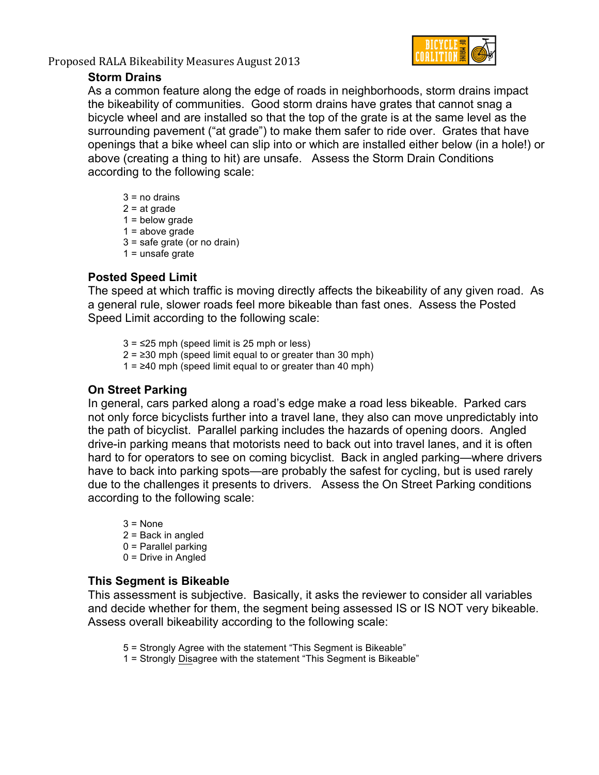Proposed RALA Bikeability Measures August 2013 



#### **Storm Drains**

As a common feature along the edge of roads in neighborhoods, storm drains impact the bikeability of communities. Good storm drains have grates that cannot snag a bicycle wheel and are installed so that the top of the grate is at the same level as the surrounding pavement ("at grade") to make them safer to ride over. Grates that have openings that a bike wheel can slip into or which are installed either below (in a hole!) or above (creating a thing to hit) are unsafe. Assess the Storm Drain Conditions according to the following scale:

 $3 = no$  drains  $2 = at grade$  $1 =$  below grade  $1 = above grade$ 3 = safe grate (or no drain)  $1 =$  unsafe grate

# **Posted Speed Limit**

The speed at which traffic is moving directly affects the bikeability of any given road. As a general rule, slower roads feel more bikeable than fast ones. Assess the Posted Speed Limit according to the following scale:

- $3 = 25$  mph (speed limit is 25 mph or less)
- $2 = 230$  mph (speed limit equal to or greater than 30 mph)
- 1 =  $≥40$  mph (speed limit equal to or greater than 40 mph)

#### **On Street Parking**

In general, cars parked along a road's edge make a road less bikeable. Parked cars not only force bicyclists further into a travel lane, they also can move unpredictably into the path of bicyclist. Parallel parking includes the hazards of opening doors. Angled drive-in parking means that motorists need to back out into travel lanes, and it is often hard to for operators to see on coming bicyclist. Back in angled parking—where drivers have to back into parking spots—are probably the safest for cycling, but is used rarely due to the challenges it presents to drivers. Assess the On Street Parking conditions according to the following scale:

 $3 = None$ 2 = Back in angled 0 = Parallel parking 0 = Drive in Angled

#### **This Segment is Bikeable**

This assessment is subjective. Basically, it asks the reviewer to consider all variables and decide whether for them, the segment being assessed IS or IS NOT very bikeable. Assess overall bikeability according to the following scale:

- 5 = Strongly Agree with the statement "This Segment is Bikeable"
- 1 = Strongly Disagree with the statement "This Segment is Bikeable"